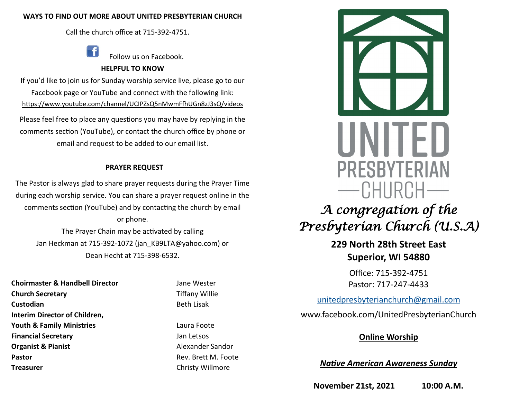## **WAYS TO FIND OUT MORE ABOUT UNITED PRESBYTERIAN CHURCH**

Call the church office at 715-392-4751.

Follow us on Facebook.

## **HELPFUL TO KNOW**

If you'd like to join us for Sunday worship service live, please go to our Facebook page or YouTube and connect with the following link: https://www.youtube.com/channel/UCIPZsQ5nMwmFfhUGn8zJ3sQ/videos

Please feel free to place any questions you may have by replying in the comments section (YouTube), or contact the church office by phone or email and request to be added to our email list.

# **PRAYER REQUEST**

The Pastor is always glad to share prayer requests during the Prayer Time during each worship service. You can share a prayer request online in the comments section (YouTube) and by contacting the church by email or phone. The Prayer Chain may be activated by calling

Jan Heckman at 715-392-1072 (jan\_KB9LTA@yahoo.com) or Dean Hecht at 715-398-6532.

**Choirmaster & Handbell Director** Jane Wester **Church Secretary Tiffany Willie Custodian** Beth Lisak **Interim Director of Children, Youth & Family Ministries Laura Foote Financial Secretary Contract Contract Contract Contract Contract Contract Contract Contract Contract Contract Contract Contract Contract Contract Contract Contract Contract Contract Contract Contract Contract Contract C Organist & Pianist** Alexander Sandor **Pastor Pastor Rev. Brett M. Foote Rev. Brett M. Foote Treasurer** Christy Willmore



**229 North 28th Street East Superior, WI 54880**

> Office: 715-392-4751 Pastor: 717-247-4433

[unitedpresbyterianchurch@gmail.com](mailto:unitedpresbyterianchurch@gmail.com)

www.facebook.com/UnitedPresbyterianChurch

# **Online Worship**

*Native American Awareness Sunday*

**November 21st, 2021 10:00 A.M.**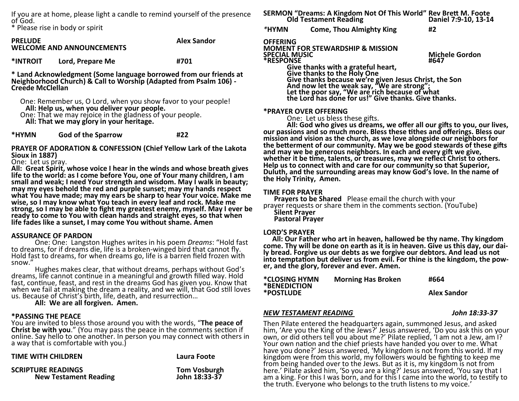If you are at home, please light a candle to remind yourself of the presence of God.

\* Please rise in body or spirit

**PRELUDE Alex Sandor WELCOME AND ANNOUNCEMENTS** 

**\*INTROIT Lord, Prepare Me #701**

**\* Land Acknowledgment (Some language borrowed from our friends at Neighborhood Church) & Call to Worship (Adapted from Psalm 106) - Creede McClellan**

- One: Remember us, O Lord, when you show favor to your people!  **All: Help us, when you deliver your people.**
- One: That we may rejoice in the gladness of your people.  **All: That we may glory in your heritage.**

**\*HYMN God of the Sparrow #22**

**PRAYER OF ADORATION & CONFESSION (Chief Yellow Lark of the Lakota Sioux in 1887)**

One: Let us pray.

**All: Great Spirit, whose voice I hear in the winds and whose breath gives life to the world: as I come before You, one of Your many children, I am small and weak; I need Your strength and wisdom. May I walk in beauty; may my eyes behold the red and purple sunset; may my hands respect what You have made; may my ears be sharp to hear Your voice. Make me wise, so I may know what You teach in every leaf and rock. Make me strong, so I may be able to fight my greatest enemy, myself. May I ever be ready to come to You with clean hands and straight eyes, so that when life fades like a sunset, I may come You without shame. Amen** 

### **ASSURANCE OF PARDON**

One: One: Langston Hughes writes in his poem *Dreams*: "Hold fast to dreams, for if dreams die, life is a broken-winged bird that cannot fly. Hold fast to dreams, for when dreams go, life is a barren field frozen with snow."

Hughes makes clear, that without dreams, perhaps without God's dreams, life cannot continue in a meaningful and growth filled way. Hold fast, continue, feast, and rest in the dreams God has given you. Know that when we fail at making the dream a reality, and we will, that God still loves us. Because of Christ's birth, life, death, and resurrection…

**All: We are all forgiven. Amen.**

### **\*PASSING THE PEACE**

You are invited to bless those around you with the words, "**The peace of Christ be with you**." (You may pass the peace in the comments section if online. Say hello to one another. In person you may connect with others in a way that is comfortable with you.)

| <b>TIME WITH CHILDREN</b>    | Laura Foote         |
|------------------------------|---------------------|
| <b>SCRIPTURE READINGS</b>    | <b>Tom Vosburgh</b> |
| <b>New Testament Reading</b> | John 18:33-37       |

#### **SERMON "Dreams: A Kingdom Not Of This World" Rev Brett M. Foote Did Testament Reading** *\****HYMN Come, Thou Almighty King #2**

## **OFFERING**

**MOMENT FOR STEWARDSHIP & MISSION SPECIAL MUSIC Michele Gordon \*RESPONSE #647**

**Give thanks with a grateful heart, Give thanks to the Holy One Give thanks because we're given Jesus Christ, the Son And now let the weak say, "We are strong";**  Let the poor say, "We are rich because of what **the Lord has done for us!" Give thanks. Give thanks.** 

### **\*PRAYER OVER OFFERING**

One: Let us bless these gifts.

**All: God who gives us dreams, we offer all our gifts to you, our lives, our passions and so much more. Bless these tithes and offerings. Bless our mission and vision as the church, as we love alongside our neighbors for the betterment of our community. May we be good stewards of these gifts and may we be generous neighbors. In each and every gift we give, whether it be time, talents, or treasures, may we reflect Christ to others. Help us to connect with and care for our community so that Superior, Duluth, and the surrounding areas may know God's love. In the name of the Holy Trinity, Amen.** 

### **TIME FOR PRAYER**

 **Prayers to be Shared** Please email the church with your prayer requests or share them in the comments section. (YouTube)  **Silent Prayer Pastoral Prayer**

### **LORD'S PRAYER**

 **All: Our Father who art in heaven, hallowed be thy name. Thy kingdom come. Thy will be done on earth as it is in heaven. Give us this day, our daily bread. Forgive us our debts as we forgive our debtors. And lead us not into temptation but deliver us from evil. For thine is the kingdom, the power, and the glory, forever and ever. Amen.** 

| *CLOSING HYMN<br>*BENEDICTION | <b>Morning Has Broken</b> | #664               |
|-------------------------------|---------------------------|--------------------|
| *POSTLUDE                     |                           | <b>Alex Sandor</b> |

## *NEW TESTAMENT READING John 18:33-37*

Then Pilate entered the headquarters again, summoned Jesus, and asked him, 'Are you the King of the Jews?' Jesus answered, 'Do you ask this on your own, or did others tell you about me?' Pilate replied, 'I am not a Jew, am I? Your own nation and the chief priests have handed you over to me. What have you done?' Jesus answered, 'My kingdom is not from this world. If my kingdom were from this world, my followers would be fighting to keep me from being handed over to the Jews. But as it is, my kingdom is not from here.' Pilate asked him, 'So you are a king?' Jesus answered, 'You say that I am a king. For this I was born, and for this I came into the world, to testify to the truth. Everyone who belongs to the truth listens to my voice.'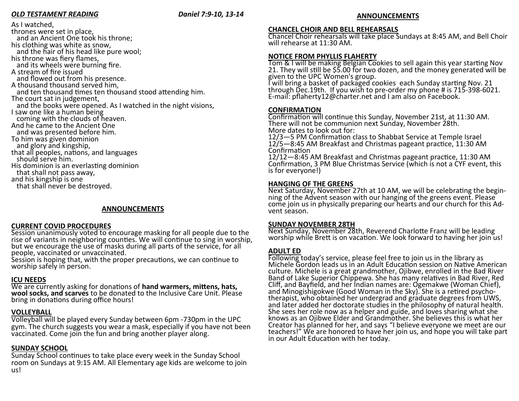## *OLD TESTAMENT READING Daniel 7:9-10, 13-14*

#### As I watched, thrones were set in place, and an Ancient One took his throne; his clothing was white as snow, and the hair of his head like pure wool; his throne was fiery flames, and its wheels were burning fire. A stream of fire issued and flowed out from his presence. A thousand thousand served him, and ten thousand times ten thousand stood attending him. The court sat in judgement, and the books were opened. As I watched in the night visions, I saw one like a human being coming with the clouds of heaven. And he came to the Ancient One and was presented before him. To him was given dominion and glory and kingship, that all peoples, nations, and languages should serve him. His dominion is an everlasting dominion that shall not pass away, and his kingship is one

that shall never be destroyed.

## **ANNOUNCEMENTS**

### **CURRENT COVID PROCEDURES**

Session unanimously voted to encourage masking for all people due to the rise of variants in neighboring counties. We will continue to sing in worship, but we encourage the use of masks during all parts of the service, for all people, vaccinated or unvaccinated.

Session is hoping that, with the proper precautions, we can continue to worship safely in person.

## **ICU NEEDS**

We are currently asking for donations of **hand warmers, mittens, hats, wool socks, and scarves** to be donated to the Inclusive Care Unit. Please bring in donations during office hours!

## **VOLLEYBALL**

Volleyball will be played every Sunday between 6pm -730pm in the UPC gym. The church suggests you wear a mask, especially if you have not been vaccinated. Come join the fun and bring another player along.

# **SUNDAY SCHOOL**

Sunday School continues to take place every week in the Sunday School room on Sundays at 9:15 AM. All Elementary age kids are welcome to join us!

## **ANNOUNCEMENTS**

## **CHANCEL CHOIR AND BELL REHEARSALS**

Chancel Choir rehearsals will take place Sundays at 8:45 AM, and Bell Choir will rehearse at 11:30 AM.

# **NOTICE FROM PHYLLIS FLAHERTY**

Tom & I will be making Belgian Cookies to sell again this year starting Nov 21. They will still be \$5.00 for two dozen, and the money generated will be given to the UPC Women's group.

I will bring a basket of packaged cookies each Sunday starting Nov. 21 through Dec.19th. If you wish to pre-order my phone # is 715-398-6021. E-mail: pflaherty12@charter.net and I am also on Facebook.

## **CONFIRMATION**

Confirmation will continue this Sunday, November 21st, at 11:30 AM. There will not be communion next Sunday, November 28th. More dates to look out for:

12/3—5 PM Confirmation class to Shabbat Service at Temple Israel 12/5—8:45 AM Breakfast and Christmas pageant practice, 11:30 AM Confirmation

12/12—8:45 AM Breakfast and Christmas pageant practice, 11:30 AM Confirmation, 3 PM Blue Christmas Service (which is not a CYF event, this is for everyone!)

## **HANGING OF THE GREENS**

Next Saturday, November 27th at 10 AM, we will be celebrating the beginning of the Advent season with our hanging of the greens event. Please come join us in physically preparing our hearts and our church for this Advent season.

## **SUNDAY NOVEMBER 28TH**

Next Sunday, November 28th, Reverend Charlotte Franz will be leading worship while Brett is on vacation. We look forward to having her join us!

# **ADULT ED**

Following today's service, please feel free to join us in the library as Michele Gordon leads us in an Adult Education session on Native American culture. Michele is a great grandmother, Ojibwe, enrolled in the Bad River Band of Lake Superior Chippewa. She has many relatives in Bad River, Red Cliff, and Bayfield, and her Indian names are: Ogemakwe (Woman Chief), and Minogishigokwe (Good Woman in the Sky). She is a retired psychotherapist, who obtained her undergrad and graduate degrees from UWS, and later added her doctorate studies in the philosophy of natural health. She sees her role now as a helper and guide, and loves sharing what she knows as an Ojibwe Elder and Grandmother. She believes this is what her Creator has planned for her, and says "I believe everyone we meet are our teachers!" We are honored to have her join us, and hope you will take part in our Adult Education with her today.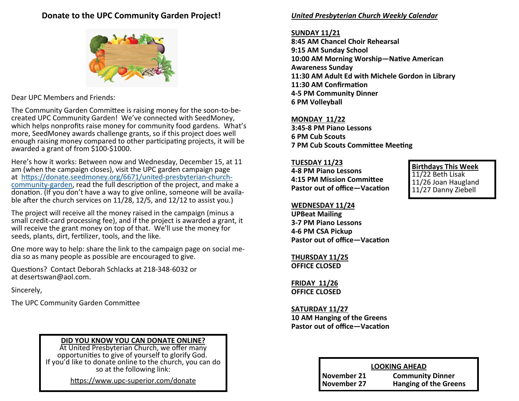# **Donate to the UPC Community Garden Project!**



Dear UPC Members and Friends:

The Community Garden Committee is raising money for the soon-to-becreated UPC Community Garden! We've connected with SeedMoney, which helps nonprofits raise money for community food gardens. What's more, SeedMoney awards challenge grants, so if this project does well enough raising money compared to other participating projects, it will be awarded a grant of from \$100-\$1000.

Here's how it works: Between now and Wednesday, December 15, at 11 am (when the campaign closes), visit the UPC garden campaign page at [https://donate.seedmoney.org/6671/united](https://donate.seedmoney.org/6671/united-presbyterian-church-community-garden)-presbyterian-church[community](https://donate.seedmoney.org/6671/united-presbyterian-church-community-garden)-garden, read the full description of the project, and make a donation. (If you don't have a way to give online, someone will be available after the church services on 11/28, 12/5, and 12/12 to assist you.)

The project will receive all the money raised in the campaign (minus a small credit-card processing fee), and if the project is awarded a grant, it will receive the grant money on top of that. We'll use the money for seeds, plants, dirt, fertilizer, tools, and the like.

One more way to help: share the link to the campaign page on social media so as many people as possible are encouraged to give.

Questions? Contact Deborah Schlacks at 218-348-6032 or at desertswan@aol.com.

Sincerely,

The UPC Community Garden Committee

# **DID YOU KNOW YOU CAN DONATE ONLINE?**

At United Presbyterian Church, we offer many opportunities to give of yourself to glorify God. If you'd like to donate online to the church, you can do so at the following link:

https://www.upc-[superior.com/donate](https://www.upc-superior.com/donate)

## *United Presbyterian Church Weekly Calendar*

## **SUNDAY 11/21**

**8:45 AM Chancel Choir Rehearsal 9:15 AM Sunday School 10:00 AM Morning Worship—Native American Awareness Sunday 11:30 AM Adult Ed with Michele Gordon in Library 11:30 AM Confirmation 4-5 PM Community Dinner 6 PM Volleyball**

# **MONDAY 11/22**

**3:45-8 PM Piano Lessons 6 PM Cub Scouts 7 PM Cub Scouts Committee Meeting**

## **TUESDAY 11/23**

**4-8 PM Piano Lessons 4:15 PM Mission Committee Pastor out of office—Vacation** **Birthdays This Week** 11/22 Beth Lisak

11/26 Joan Haugland 11/27 Danny Ziebell

## **WEDNESDAY 11/24**

**UPBeat Mailing 3-7 PM Piano Lessons 4-6 PM CSA Pickup Pastor out of office—Vacation**

**THURSDAY 11/25 OFFICE CLOSED**

**FRIDAY 11/26 OFFICE CLOSED**

**SATURDAY 11/27 10 AM Hanging of the Greens Pastor out of office—Vacation**

## **LOOKING AHEAD**

| Jovember 21 | Commu  |
|-------------|--------|
| Jovember 27 | Hangin |

**November 21 Community Dinner November 27 Hanging of the Greens**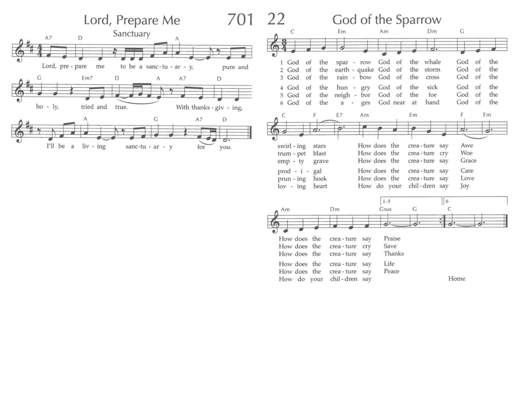